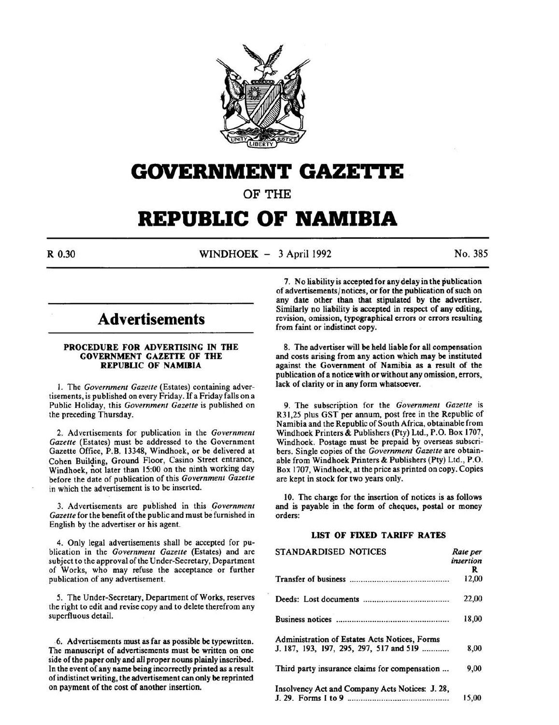

# **GOVERNMENT GAZETTE**

OF THE

# **REPUBLIC OF NAMIBIA**

R 0.30 WINDHOEK - 3 April 1992 No. 385

# **Advertisements**

#### PROCEDURE FOR ADVERTISING IN THE GOVERNMENT GAZETTE OF THE REPUBLIC OF NAMIBIA

l. The *Government Gazette* (Estates) containing advertisements, is published on every Friday. If a Friday falls on a Public Holiday, this *Government Gazette* is published on the preceding Thursday.

2. Advertisements for publication in the *Government Gazette* (Estates) must be addressed to the Government Gazette Office, P.B. 13348, Windhoek, or be delivered at Cohen Building, Ground Floor, Casino Street entrance, Windhoek, not later than 15:00 on the ninth working day before the date of publication of this *Government Gazette*  in which the advertisement is to be inserted.

3. Advertisements are published in this *Government Gazette* for the benefit of the public and must be furnished in English by the advertiser or his agent.

4. Only legal advertisements shall be accepted for publication in the *Government Gazette* (Estates) and are subject to the approval of the Under-Secretary, Department of Works, who may refuse the acceptance or further publication of any advertisement.

*5.* The Under-Secretary, Department of Works, reserves the right to edit and revise copy and to delete therefrom any superfluous detail.

6. Advertisements must as far as possible be typewritten. The manuscript of advertisements must be written on one side of the paper only and all proper nouns plainly inscribed. In the event of any name being incorrectly printed as a result of indistinct writing, the advertisement can only be reprinted on payment of the cost of another insertion.

7. No liability is accepted for any delay in the publication of advertisements/notices, or for the publication of such on any date other than that stipulated by the advertiser. Similarly no liability is accepted in respect of any editing, revision, omission, typographical errors or errors resulting from faint or indistinct copy.

8. The advertiser will be held liable for all compensation and costs arising from any action which may be instituted against the Government of Namibia as a result of the publication of a notice with or without any omission, errors, lack of clarity or in any form whatsoever.

9. The subscription for the *Government Gazette* is R31,25 plus GST per annum, post free in the Republic of Namibia and the Republic of South Africa, obtainable from Windhoek Printers & Publishers (Pty) Ltd., P.O. Box 1707, Windhoek. Postage must be prepaid by overseas subscribers. Single copies of the *Government Gazette* are obtainable from Windhoek Printers & Publishers (Pty) Ltd., P.O. Box 1707, Windhoek, at the price as printed on copy. Copies are kept in stock for two years only.

10. The charge for the insertion of notices is as follows and is payable in the form of cheques, postal or money orders:

## LIST OF FIXED TARIFF RATES

| STANDARDISED NOTICES                            | Rate per<br>insertion |
|-------------------------------------------------|-----------------------|
|                                                 | R                     |
|                                                 | 12,00                 |
|                                                 | 22,00                 |
|                                                 | 18,00                 |
| Administration of Estates Acts Notices, Forms   |                       |
| J. 187, 193, 197, 295, 297, 517 and 519         | 8,00                  |
| Third party insurance claims for compensation   | 9,00                  |
| Insolvency Act and Company Acts Notices: J. 28, |                       |
|                                                 | 15.00                 |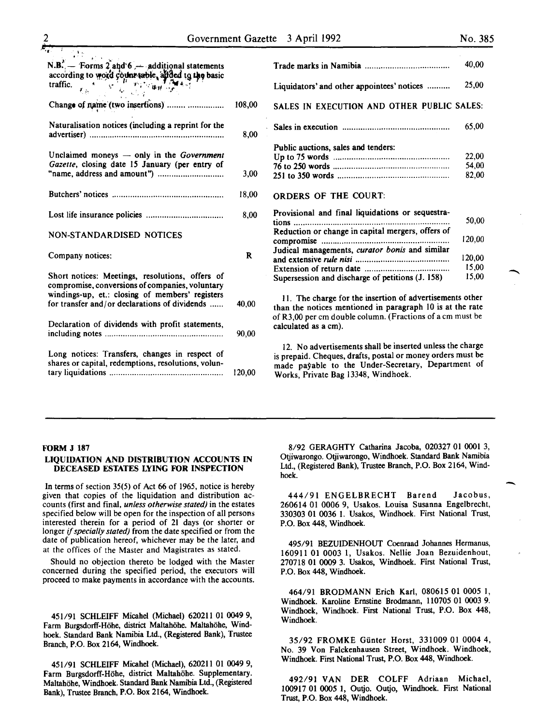-

| $N.B.$ - Forms 2 and 6 - additional statements<br>according to word count table, added to the basic<br>traffic.<br>traffic.<br>$u_{11}$<br>$\mathbf{y}^{\star}$<br>$\tilde{\epsilon}$ is               |        |
|--------------------------------------------------------------------------------------------------------------------------------------------------------------------------------------------------------|--------|
| Change of name (two insertions)                                                                                                                                                                        | 108,00 |
| Naturalisation notices (including a reprint for the                                                                                                                                                    | 8,00   |
| Unclaimed moneys $-$ only in the Government<br>Gazette, closing date 15 January (per entry of                                                                                                          | 3,00   |
|                                                                                                                                                                                                        | 18,00  |
|                                                                                                                                                                                                        | 8,00   |
| NON-STANDARDISED NOTICES                                                                                                                                                                               |        |
| Company notices:                                                                                                                                                                                       | R      |
| Short notices: Meetings, resolutions, offers of<br>compromise, conversions of companies, voluntary<br>windings-up, et.: closing of members' registers<br>for transfer and/or declarations of dividends |        |
|                                                                                                                                                                                                        | 40,00  |
| Declaration of dividends with profit statements,                                                                                                                                                       | 90,00  |
| Long notices: Transfers, changes in respect of<br>shares or capital, redemptions, resolutions, volun-                                                                                                  | 120,00 |

|                                                   | 40,00  |  |
|---------------------------------------------------|--------|--|
| Liquidators' and other appointees' notices        | 25,00  |  |
| SALES IN EXECUTION AND OTHER PUBLIC SALES:        |        |  |
|                                                   | 65,00  |  |
| Public auctions, sales and tenders:               |        |  |
|                                                   | 22,00  |  |
|                                                   | 54,00  |  |
|                                                   | 82,00  |  |
| <b>ORDERS OF THE COURT:</b>                       |        |  |
| Provisional and final liquidations or sequestra-  |        |  |
| tions                                             | 50,00  |  |
| Reduction or change in capital mergers, offers of |        |  |
|                                                   | 120,00 |  |
|                                                   |        |  |
| Judical managements, curator bonis and similar    |        |  |
|                                                   | 120,00 |  |
|                                                   | 15,00  |  |
| Supersession and discharge of petitions (J. 158)  | 15,00  |  |

II. The charge for the insertion of advertisements other than the notices mentioned in paragraph 10 is at the rate of R3,00 per em double column. (Fractions of a em must be calculated as a em).

12. No advertisements shall be inserted unless the charge is prepaid. Cheques, drafts, postal or money orders must be made payable to the Under-Secretary, Department of Works, Private Bag 13348, Windhoek.

#### FORM J 187

#### LIQUIDATION AND DISTRIBUTION ACCOUNTS IN DECEASED ESTATES LYING FOR INSPECTION

In terms of section 35(5) of Act 66 of 1965, notice is hereby given that copies of the liquidation and distribution accounts (first and final, *unless otherwise stated)* in the estates specified below will be open for the inspection of all persons interested therein for a period of 21 days (or shorter or longer if *specially stated)* from the date specified or from the date of publication hereof, whichever may be the later, and at the offices of the Master and Magistrates as stated.

Should no objection thereto be lodged with the Master concerned during the specified period, the executors will proceed to make payments in accordance with the accounts.

451/91 SCHLEIFF Micahel (Michael) 620211 01 0049 9, Farm Burgsdorff-Höhe, district Maltahöhe. Maltahöhe, Windhoek. Standard Bank Namibia Ltd., (Registered Bank), Trustee Branch, P.O. Box 2164, Windhoek.

451/91 SCHLEIFF Micahel (Michael), 620211 01 0049 9, Farm Burgsdorff-Hohe, district Maltahohe. Supplementary. Maltahohe, Windhoek. Standard Bank Namibia Ltd., (Registered Bank), Trustee Branch, P.O. Box 2164, Windhoek.

8/92 GERAGHTY Catharina Jacoba, 020327 01 0001 3, Otjiwarongo. Otjiwarongo, Windhoek. Standard Bank Namibia Ltd., (Registered Bank), Trustee Branch, P.O. Box 2164, Windhoek.

444/91 ENGELBRECHT Barend Jacobus, 260614 01 0006 9, Usakos. Louisa Susanna Engelbrecht, 330303 01 0036 I. Usakos, Windhoek. First National Trust, P.O. Box 448, Windhoek.

495/91 BEZUIDENHOUT Coenraad Johannes Hermanus, 160911 01 0003 1, Usakos. Nellie Joan Bezuidenhout, 270718 01 0009 3. Usakos, Windhoek. First National Trust, P.O. Box 448, Windhoek.

464/91 BRODMANN Erich Karl, 080615 01 0005 I, Windhoek. Karoline Ernstine Brodmann, 110705 01 0003 9. Windhoek, Windhoek. First National Trust, P.O. Box 448, Windhoek.

35/92 FROMKE Gunter Horst, 331009 01 0004 4, No. 39 Von Falckenhausen Street, Windhoek. Windhoek, Windhoek. First National Trust, P.O. Box 448, Windhoek.

492/91 VAN DER COLFF Adriaan Michael, 100917 01 0005 1, Outjo. Outjo, Windhoek. First National Trust, P.O. Box 448, Windhoek.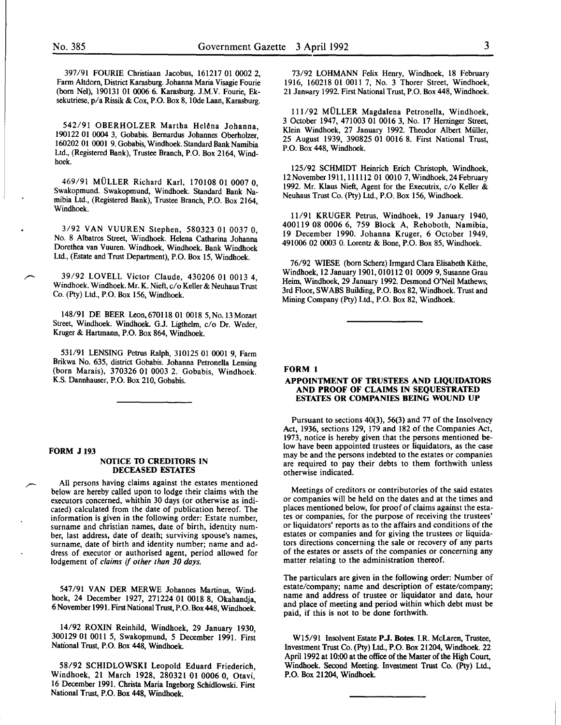397/91 FOURIE Christiaan Jacobus, 161217 01 0002 2, Farm Altdorn, District Karasburg. Johanna Maria Visagie Fourie (born Nel), 190131 01 0006 6. Karasburg. J.M.V. Fourie, Eksekutriese, p/a Rissik & Cox, P.O. Box 8, lOde Laan, Karasburg.

542/91 OBERHOLZER Martha Helena Johanna, 190122 01 0004 3, Gobabis. Bernardus Johannes Oberholzer' 160202 01 0001 9. Gobabis, Windhoek. Standard Bank Namibia Ltd., (Registered Bank), Trustee Branch, P.O. Box 2164, Windhoek.

469/91 MULLER Richard Karl, 170108 01 0007 0, Swakopmund. Swakopmund, Windhoek. Standard Bank Namibia Ltd., (Registered Bank), Trustee Branch, P.O. Box 2164, Windhoek.

3/92 VAN VUUREN Stephen, 580323 01 0037 0, No. 8 Albatros Street, Windhoek. Helena Catharina Johanna Dorethea van Vuuren. Windhoek, Windhoek. Bank Windhoek Ltd., (Estate and Trust Department), P.O. Box 15, Windhoek.

39/92 LOVELL Victor Claude, 430206 01 0013 4 Windhoek. Windhoek. Mr. K. Nieft, c/o Keller & Neuhaus Trus~ Co. (Pty) Ltd., P.O. Box 156, Windhoek.

148/91 DE BEER Leon, 670118 01 0018 5, No. 13 Mozart Street, Windhoek. Windhoek. G.J. Ligthelm, c/o Dr. Weder, Kruger & Hartmann, P.O. Box 864, Windhoek.

531/91 LENSING Petrus Ralph, 310125 01 0001 9, Farm Brikwa No. 635, district Gobabis. Johanna Petronella Lensing (born Marais), 370326 01 0003 2. Gobabis, Windhoek. K.S. Dannhauser, P.O. Box 210, Gobabis.

#### FORM J 193

#### NOTICE TO CREDITORS IN DECEASED ESTATES

All persons having claims against the estates mentioned below are hereby called upon to lodge their claims with the executors concerned, whithin 30 days (or otherwise as indicated) calculated from the date of publication hereof. The information is given in the following order: Estate number, surname and christian names, date of birth, identity number, last address, date of death; surviving spouse's names, surname, date of birth and identity number; name and address of executor or authorised agent, period allowed for lodgement of *claims* if *other than 30 days.* 

547/91 VAN DER MERWE Johannes Martinus, Windhoek, 24 December 1927, 271224 01 0018 8, Okahandja, 6 November 1991. First National Trust, P.O. Box 448, Windhoek.

14/92 ROXIN Reinhild, Windhoek, 29 January 1930, 300129 01 0011 5, Swakopmund, 5 December 1991. First National Trust, P.O. Box 448, Windhoek.

58/92 SCHIDLOWSKI Leopold Eduard Friederich Windhoek, 21 March 1928, 280321 01 0006 0, Otavi, 16 December 1991. Christa Maria Ingeborg Schidlowski. First National Trust, P.O. Box 448, Windhoek.

73/92 LOHMANN Felix Henry, Windhoek, 18 February 1916, 160218 01 0011 7, No. 3 Thorer Street, Windhoek, 21 January 1992. First National Trust, P.O. Box 448, Windhoek.

111/92 MULLER Magdalena Petronella, Windhoek, 3 October 1947, 471003 01 0016 3, No. 17 Herzinger Street, Klein Windhoek, 27 January 1992. Theodor Albert Miiller, 25 August 1939, 390825 01 0016 8. First National Trust, P.O. Box 448, Windhoek.

125/92 SCHMIDT Heinrich Erich Christoph, Windhoek, 12 November 1911, 111112 01 0010 7, Windhoek, 24 February 1992. Mr. Klaus Nieft, Agent for the Executrix, c/o Keller & Neuhaus Trust Co. (Pty) Ltd., P.O. Box 156, Windhoek.

11/91 KRUGER Petrus, Windhoek, 19 January 1940, 400119 08 0006 6, 759 Block A, Rehoboth, Namibia, 19 December 1990. Johanna Kruger, 6 October 1949, 491006 02 0003 0. Lorentz & Bone, P.O. Box 85, Windhoek.

76/92 WIESE (born Scherz) Irmgard Clara Elisabeth Kiithe, Windhoek, 12 January 1901,010112 01 0009 9, Susanne Grau Heim, Windhoek, 29 January 1992. Desmond O'Neil Mathews, 3rd Floor, SWABS Building, P.O. Box 82, Windhoek. Trust and Mining Company (Pty) Ltd., P.O. Box 82, Windhoek.

#### FORM 1

#### APPOINTMENT OF TRUSTEES AND LIQUIDATORS AND PROOF OF CLAIMS IN SEQUESTRATED ESTATES OR COMPANIES BEING WOUND UP

Pursuant to sections 40(3), 56(3) and 77 of the Insolvency Act, 1936, sections 129, 179 and 182 of the Companies Act, 1973, notice is hereby given that the persons mentioned below have been appointed trustees or liquidators, as the case may be and the persons indebted to the estates or companies are required to pay their debts to them forthwith unless otherwise indicated.

Meetings of creditors or contributories of the said estates or companies will be held on the dates and at the times and places mentioned below, for proof of claims against the estates or companies, for the purpose of receiving the trustees' or liquidators' reports as to the affairs and conditions of the estates or companies and for giving the trustees or liquidators directions concerning the sale or recovery of any parts of the estates or assets of the companies or concerning any matter relating to the administration thereof.

The particulars are given in the following order: Number of estate/company; name and description of estate/company; name and address of trustee or liquidator and date, hour and place of meeting and period within which debt must be paid, if this is not to be done forthwith.

Wl5/91 Insolvent Estate P.J. Botes. I.R. McLaren, Trustee, Investment Trust Co. (Pty) Ltd., P.O. Box 21204, Windhoek. 22 April 1992 at 10:00 at the office of the Master of the High Court, Windhoek. Second Meeting. Investment Trust Co. (Pty) Ltd., P.O. Box 21204, Windhoek.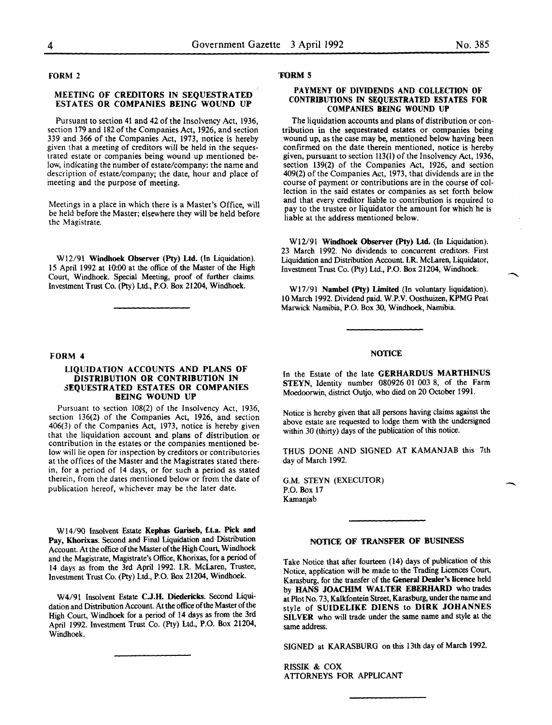$\overline{\phantom{a}}$ 

FORM 2

#### MEETING OF CREDITORS IN SEQUESTRATED ESTATES OR COMPANIES BEING WOUND UP

Pursuant to section 41 and 42 of the Insolvency Act, 1936, section 179 and 182 of the Companies Act, 1926, and section 339 and 366 of the Companies Act, 1973, notice is hereby given that a meeting of creditors will be held in the sequestrated estate or companies being wound up mentioned below, indicating the number of estate/company: the name and description of estate/company; the date, hour and place of meeting and the purpose of meeting.

Meetings in a place in which there is a Master's Office, will be held before the Master; elsewhere they will be held before the Magistrate.

Wl2/91 Windhoek Observer (Pty) Ltd. (In Liquidation). 15 April 1992 at 10:00 at the office of the Master of the High Court, Windhoek. Special Meeting, proof of further claims. Investment Trust Co. (Pty) Ltd., P.O. Box 21204, Windhoek.

#### FORM 4

#### LIQUIDATION ACCOUNTS AND PLANS OF DISTRIBUTION OR CONTRIBUTION IN 3EQUESTRATED ESTATES OR COMPANIES BEING WOUND UP

Pursuant to section 108(2) of the Insolvency Act, 1936, section 136(2) of the Companies Act, 1926, and section 406(3) of the Companies Act, 1973, notice is hereby given that the liquidation account and plans of distribution or contribution in the estates or the companies mentioned below will lie open for inspection by creditors or contributories at the offices of the Master and the Magistrates stated therein, for a period of 14 days, or for such a period as stated therein, from the dates mentioned below or from the date of publication hereof, whichever may be the later date.

Wl4/90 Insolvent Estate Kephas Gariseb, f.t.a. Pick and Pay, Khorixas. Second and Final Liquidation and Distribution Account. At the office of the Master of the High Court, Windhoek and the Magistrate, Magistrate's Office, Khorixas, for a period of 14 days as from the 3rd April 1992. I.R. McLaren, Trustee, Investment Trust Co. (Pty) Ltd., P.O. Box 21204, Windhoek.

W4/91 Insolvent Estate C.J.H. Diedericks. Second Liquidation and Distribution Account. At the office of the Master of the High Court, Windhoek for a period of 14 days as from the 3rd April 1992. Investment Trust Co. (Pty) Ltd., P.O. Box 21204, Windhoek.

#### 'FORM 5

#### PAYMENT OF DIVIDENDS AND COLLECTION OF CONTRIBUTIONS IN SEQUESTRATED ESTATES FOR COMPANIES BEING WOUND UP

The liquidation accounts and plans of distribution or contribution in the sequestrated estates or companies being wound up, as the case may be, mentioned below having been confirmed on the date therein mentioned, notice is hereby given, pursuant to section 113(1) of the Insolvency Act, 1936, section 139(2) of the Companies Act, 1926, and section 409(2) of the Companies Act, 1973, that dividends are in the course of payment or contributions are in the course of collection in the said estates or companies as set forth below and that every creditor liable to contribution is reauired to pay to the trustee or liquidator the amount for which he is liable at the address mentioned below.

Wl2/91 Windhoek Observer (Pty) Ltd. (In Liquidation). 23 March 1992. No dividends to concurrent creditors. First Liquidation and Distribution Account. I.R. McLaren, Liquidator, Investment Trust Co. (Pty) Ltd., P.O. Box 21204, Windhoek.

Wl7/91 Nambel (Pty) Limited (In voluntary liquidation). 10 March 1992. Dividend paid. W.P.V. Oosthuizen, KPMG Peat Marwick Namibia, P.O. Box 30, Windhoek, Namibia.

#### **NOTICE**

In the Estate of the late GERHARDUS MARTHINUS STEYN, Identity number 080926 01 003 8, of the Farm Moedoorwin, district Outjo, who died on 20 October 1991.

Notice is hereby given that all persons having claims against the above estate are requested to lodge them with the undersigned within 30 (thirty) days of the publication of this notice.

THUS DONE AND SIGNED AT KAMANJAB this 7th day of March 1992.

G.M. STEYN (EXECUTOR) P.O. Box 17 Kamanjab

#### NOTICE OF TRANSFER OF BUSINESS

Take Notice that after fourteen (14) days of publication of this Notice, application will be made to the Trading Licences Court, Karasburg, for the transfer of the General Dealer's licence held by HANS JOACHIM WALTER EBERHARD who trades at Plot No. 73, Kalkfontein Street, Karasburg, under the name and style of SUIDELIKE DIENS to DIRK JOHANNES SILVER who will trade under the same name and style at the same address.

SIGNED at KARASBURG on this 13th day of March 1992.

RISSIK & COX ATTORNEYS FOR APPLICANT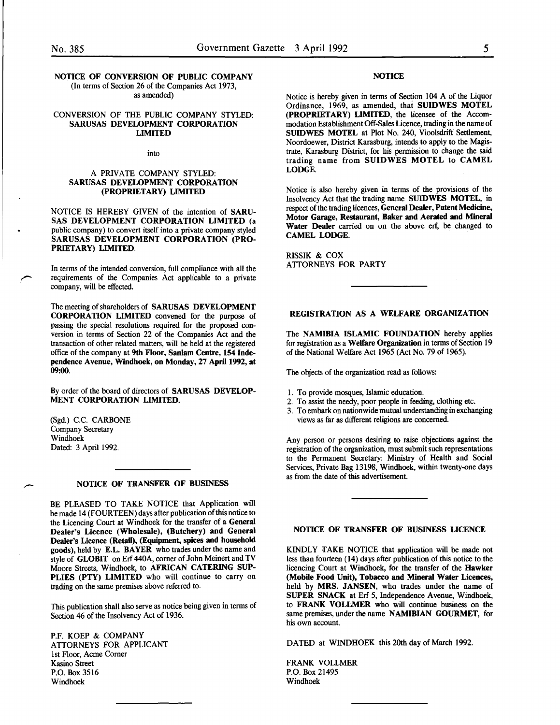# NOTICE OF CONVERSION OF PUBLIC COMPANY

(In terms of Section 26 of the Companies Act 1973, as amended)

#### CONVERSION OF THE PUBLIC COMPANY STYLED: SARUSAS DEVELOPMENT CORPORATION LIMITED

into

#### A PRIVATE COMPANY STYLED: SARUSAS DEVELOPMENT CORPORATION (PROPRIETARY) LIMITED

NOTICE IS HEREBY GIVEN of the intention of SARU-SAS DEVELOPMENT CORPORATION LIMITED (a public company) to convert itself into a private company styled SARUSAS DEVELOPMENT CORPORATION (PRO-PRIETARY) LIMITED.

In terms of the intended conversion, full compliance with all the requirements of the Companies Act applicable to a private company, will be effected.

The meeting of shareholders of SARUSAS DEVELOPMENT CORPORATION LIMITED convened for the purpose of passing the special resolutions required for the proposed conversion in terms of Section 22 of the Companies Act and the transaction of other related matters, will be held at the registered office of the company at 9th Floor, Sanlam Centre, 154 Independence Avenue, Windhoek, on Monday, 27 April 1992, at 09:00.

By order of the board of directors of SARUSAS DEVELOP-MENT CORPORATION LIMITED.

(Sgd.) C.C. CARBONE Company Secretary Windhoek Dated: 3 April 1992.

#### NOTICE OF TRANSFER OF BUSINESS

BE PLEASED TO TAKE NOTICE that Application will be made 14 (FOURTEEN) days after publication of this notice to the Licencing Court at Windhoek for the transfer of a General Dealer's Licence (Wholesale), (Butchery) and General Dealer's Licence (Retail), (Equipment, spices and household goods), held by E.L. BAYER who trades under the name and style of GLOBIT on Erf 440A, corner of John Meinert and TV Moore Streets, Windhoek, to AFRICAN CATERING SUP-PLIES (PTY) LIMITED who will continue to carry on trading on the same premises above referred to.

This publication shall also serve as notice being given in terms of Section 46 of the Insolvency Act of 1936.

P.F. KOEP & COMPANY ATTORNEYS FOR APPLICANT lst Floor, Acme Comer Kasino Street P.O. Box 3516 Windhoek

#### **NOTICE**

Notice is hereby given in terms of Section 104 A of the Liquor Ordinance, 1969, as amended, thai SUIDWES MOTEL (PROPRIETARY) LIMITED, the licensee of the Accommodation Establishment Off-Sales Licence, trading in the name of SUIDWES MOTEL at Plot No. 240, Vioolsdrift Settlement, Noordoewer, District Karasburg, intends to apply to the Magistrate, Karasburg District, for his permission to change the said trading name from SUIDWES MOTEL to CAMEL LODGE.

Notice is also hereby given in terms of the provisions of the Insolvency Act that the trading name SUIDWES MOTEL, in respect of the trading licences, General Dealer, Patent Medicine, Motor Garage, Restaurant, Baker and Aerated and Mineral Water Dealer carried on on the above erf, be changed to CAMEL LODGE.

RISSIK & COX ATTORNEYS FOR PARTY

### REGISTRATION AS A WELFARE ORGANIZATION

The NAMIBIA ISLAMIC FOUNDATION hereby applies for registration as a Welfare Organization in terms of Section 19 of the National Welfare Act 1965 (Act No. 79 of 1965).

The objects of the organization read as follows:

- 1. To provide mosques, Islamic education.
- 2. To assist the needy, poor people in feeding, clothing etc.
- 3. To embark on nationwide mutual understanding in exchanging views as far as different religions are concerned.

Any person or persons desiring to raise objections against the registration of the organization, must submit such representations to the Permanent Secretary: Ministry of Health and Social Services, Private Bag 13198, Windhoek, within twenty-one days as from the date of this advertisement.

#### NOTICE OF TRANSFER OF BUSINESS LICENCE

KINDLY TAKE NOTICE that application will be made not less than fourteen (14) days after publication of this notice to the licencing Court at Windhoek, for the transfer of the Hawker (Mobile Food Unit), Tobacco and Mineral Water Licences, held by MRS. JANSEN, who trades under the name of SUPER SNACK at Erf 5, Independence Avenue, Windhoek, to FRANK VOLLMER who will continue business on the same premises, under the name NAMIBIAN GOURMET, for his own account.

DATED at WINDHOEK this 20th day of March 1992.

FRANK VOLLMER P.O. Box 21495 Windhoek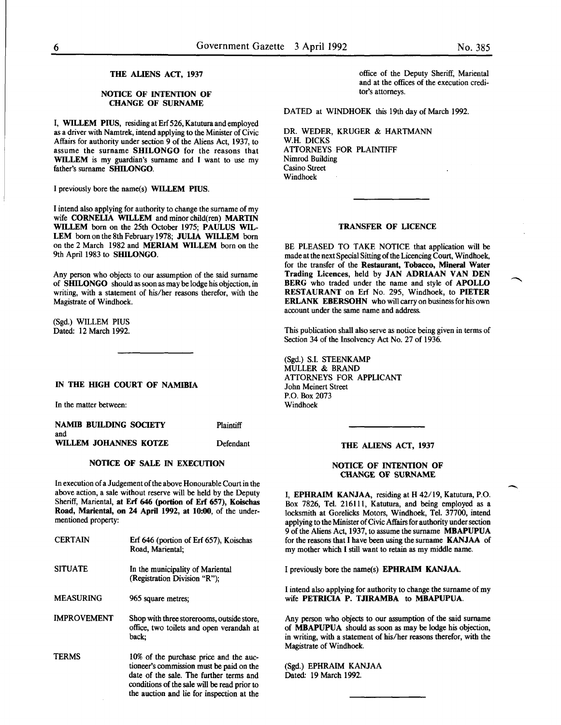-

#### THE ALIENS ACT, 1937

#### NOTICE OF INTENTION OF CHANGE OF SURNAME

I, WILLEM PIUS, residing at Erf 526, Katutura and employed as a driver with Namtrek, intend applying to the Minister of Civic Affairs for authority under section 9 of the Aliens Act, 1937, to assume the surname SHILONGO for the reasons that WILLEM is my guardian's surname and I want to use my father's surname SHILONGO.

I previously bore the name(s) WILLEM PIUS.

I intend also applying for authority to change the surname of my wife CORNELIA WILLEM and minor child(ren) MARTIN WILLEM born on the 25th October 1975; PAULUS WIL-LEM born on the 8th February 1978; JULIA WILLEM born on the 2 March 1982 and MERIAM WILLEM born on the 9th April 1983 to SHILONGO.

Any person who objects to our assumption of the said surname of SHILONGO should as soon as may be lodge his objection, in writing, with a statement of his/her reasons therefor, with the Magistrate of Windhoek.

(Sgd.) WILLEM PIUS Dated: 12 March 1992.

IN THE HIGH COURT OF NAMIBIA

In the matter between:

NAMIB BUILDING SOCIETY **Plaintiff** 

and WILLEM JOHANNES KOTZE Defendant

#### NOTICE OF SALE IN EXECUTION

In execution of a Judgement of the above Honourable Court in the above action, a sale without reserve will be held by the Deputy Sheriff, Mariental, at Erf 646 (portion of Erf 657), Koischas Road, Mariental, on 24 April 1992, at 10:00, of the undermentioned property:

| <b>CERTAIN</b>     | Erf 646 (portion of Erf 657), Koischas<br>Road, Mariental:                                                                                                                                                                 |
|--------------------|----------------------------------------------------------------------------------------------------------------------------------------------------------------------------------------------------------------------------|
| <b>SITUATE</b>     | In the municipality of Mariental<br>(Registration Division "R");                                                                                                                                                           |
| <b>MEASURING</b>   | 965 square metres:                                                                                                                                                                                                         |
| <b>IMPROVEMENT</b> | Shop with three storerooms, outside store,<br>office, two toilets and open verandah at<br>back:                                                                                                                            |
| TERMS              | 10% of the purchase price and the auc-<br>tioneer's commission must be paid on the<br>date of the sale. The further terms and<br>conditions of the sale will be read prior to<br>the auction and lie for inspection at the |

office of the Deputy Sheriff, Mariental and at the offices of the execution creditor's attorneys.

DATED at WINDHOEK this 19th day of March 1992.

DR. WEDER, KRUGER & HARTMANN W.H. DICKS ATTORNEYS FOR PLAINTIFF Nimrod Building Casino Street Windhoek

#### TRANSFER OF LICENCE

BE PLEASED TO TAKE NOTICE that application will be made at the next Special Sitting of the Licencing Court, Windhoek, for the transfer of the Restaurant, Tobacco, Mineral Water Trading Licences, held by JAN ADRIAAN VAN DEN BERG who traded under the name and style of APOLLO RESTAURANT on Erf No. 295, Windhoek, to PIETER ERLANK EBERSOHN who will carry on business for his own account under the same name and address.

This publication shall also serve as notice being given in terms of Section 34 of the Insolvency Act No. 27 of 1936.

(Sgd.) S.l. STEENKAMP MULLER & BRAND ATTORNEYS FOR APPLICANT John Meinert Street P.O. Box 2073 Windhoek

#### THE ALIENS ACT, 1937

#### NOTICE OF INTENTION OF CHANGE OF SURNAME

I, EPHRAIM KANJAA, residing at H 42/19, Katutura, P.O. Box 7826, Tel. 216111, Katutura, and being employed as a locksmith at Gorelicks Motors, Windhoek, Tel. 37700, intend applying to the Minister of Civic Affairs for authority under section 9 of the Aliens Act, 1937, to assume the surname MBAPUPUA for the reasons that I have been using the surname KANJAA of my mother which I still want to retain as my middle name.

I previously bore the name(s) EPHRAIM KANJAA.

I intend also applying for authority to change the surname of my wife PETRICIA P. TJIRAMBA to MBAPUPUA.

Any person who objects to our assumption of the said surname of MBAPUPUA should as soon as may be lodge his objection, in writing, with a statement of his/her reasons therefor, with the Magistrate of Windhoek.

(Sgd.) EPHRAIM KANJAA Dated: 19 March 1992.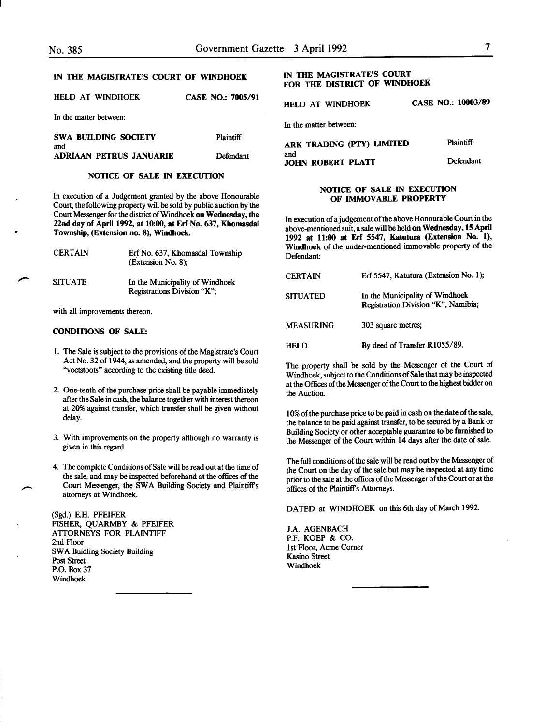HELD AT WINDHOEK In the matter between: SWA BUILDING SOCIETY CASE NO.: 7005/91 Plaintiff

| and |                         |           |
|-----|-------------------------|-----------|
|     | ADRIAAN PETRUS JANUARIE | Defendant |
|     |                         |           |

#### NOTICE OF SALE IN EXECUTION

In execution of a Judgement granted by the above Honourable Court, the following property will be sold by public auction by the Court Messenger for the district of Windhoek on Wednesday, the 22nd day of April 1992, at 10:00, at Erf No. 637, Khomasdal Township, (Extension no. 8), Windhoek.

| <b>CERTAIN</b> | Erf No. 637, Khomasdal Township<br>(Extension No. 8);          |
|----------------|----------------------------------------------------------------|
| <b>SITUATE</b> | In the Municipality of Windhoek<br>Registrations Division "K"; |

with all improvements thereon.

#### CONDITIONS OF SALE:

- I. The Sale is subject to the provisions of the Magistrate's Court Act No. 32 of I944, as amended, and the property will be sold "voetstoots" according to the existing title deed.
- 2. One-tenth of the purchase price shall be payable immediately after the Sale in cash, the balance together with interest thereon at 20% against transfer, which transfer shall be given without delay.
- 3. With improvements on the property although no warranty is given in this regard.
- 4. The complete Conditions of Sale will be read out at the time of the sale, and may be inspected beforehand at the offices of the Court Messenger, the SWA Building Society and Plaintiff's attorneys at Windhoek.

(Sgd.) E.H. PFEIFER FISHER, QUARMBY & PFEIFER ATTORNEYS FOR PLAINTIFF 2nd Floor SWA Buidling Society Building Post Street P.O. Box37 Windhoek

-

### IN THE MAGISTRATE'S COURT FOR THE DISTRICT OF WINDHOEK

HELD AT WINDHOEK CASE NO.: 10003/89

In the matter between:

ARK TRADING (PTY) LIMITED and JOHN ROBERT PLATT **Plaintiff** Defendant

#### NOTICE OF SALE IN EXECUTION OF IMMOVABLE PROPERTY

In execution of a judgement of the above Honourable Court in the above-mentioned suit, a sale will be held on Wednesday, 15 April 1992 at 11:00 at Erf 5547, Katutura (Extension No. 1), Windhoek of the under-mentioned immovable property of the Defendant:

| <b>CERTAIN</b>   | Erf 5547, Katutura (Extension No. 1);                                  |
|------------------|------------------------------------------------------------------------|
| <b>SITUATED</b>  | In the Municipality of Windhoek<br>Registration Division "K", Namibia; |
| <b>MEASURING</b> | 303 square metres;                                                     |
| <b>HELD</b>      | By deed of Transfer R1055/89.                                          |

The property shall be sold by the Messenger of the Court of Windhoek, subject to the Conditions of Sale that may be inspected at the Offices of the Messenger of the Court to the highest bidder on the Auction.

10% of the purchase price to be paid in cash on the date of the sale, the balance to be paid against transfer, to be secured by a Bank or Building Society or other acceptable guarantee to be furnished to the Messenger of the Court within 14 days after the date of sale.

The full conditions of the sale will be read out by the Messenger of the Court on the day of the sale but may be inspected at any time prior to the sale at the offices of the Messenger of the Court or at the offices of the Plaintiffs Attorneys.

DATED at WINDHOEK on this 6th day of March I992.

J.A. AGENBACH P.F. KOEP & CO. 1st Floor, Acme Comer Kasino Street Windhoek